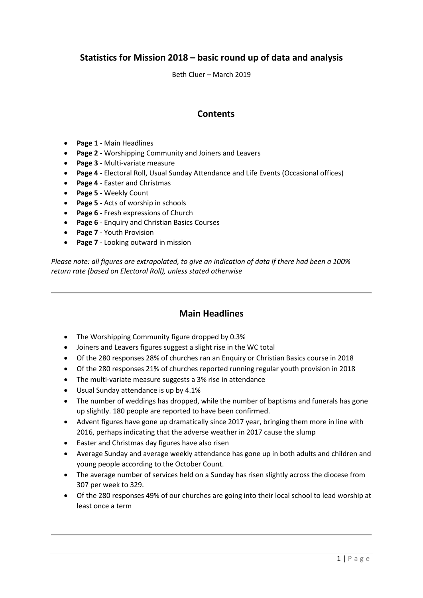# **Statistics for Mission 2018 – basic round up of data and analysis**

Beth Cluer – March 2019

## **Contents**

- **Page 1 -** Main Headlines
- **Page 2 -** Worshipping Community and Joiners and Leavers
- **Page 3 -** Multi-variate measure
- **Page 4 -** Electoral Roll, Usual Sunday Attendance and Life Events (Occasional offices)
- **Page 4** Easter and Christmas
- **Page 5 -** Weekly Count
- **Page 5 -** Acts of worship in schools
- **Page 6 -** Fresh expressions of Church
- **Page 6** Enquiry and Christian Basics Courses
- **Page 7** Youth Provision
- **Page 7** Looking outward in mission

*Please note: all figures are extrapolated, to give an indication of data if there had been a 100% return rate (based on Electoral Roll), unless stated otherwise*

### **Main Headlines**

- The Worshipping Community figure dropped by 0.3%
- Joiners and Leavers figures suggest a slight rise in the WC total
- Of the 280 responses 28% of churches ran an Enquiry or Christian Basics course in 2018
- Of the 280 responses 21% of churches reported running regular youth provision in 2018
- The multi-variate measure suggests a 3% rise in attendance
- Usual Sunday attendance is up by 4.1%
- The number of weddings has dropped, while the number of baptisms and funerals has gone up slightly. 180 people are reported to have been confirmed.
- Advent figures have gone up dramatically since 2017 year, bringing them more in line with 2016, perhaps indicating that the adverse weather in 2017 cause the slump
- Easter and Christmas day figures have also risen
- Average Sunday and average weekly attendance has gone up in both adults and children and young people according to the October Count.
- The average number of services held on a Sunday has risen slightly across the diocese from 307 per week to 329.
- Of the 280 responses 49% of our churches are going into their local school to lead worship at least once a term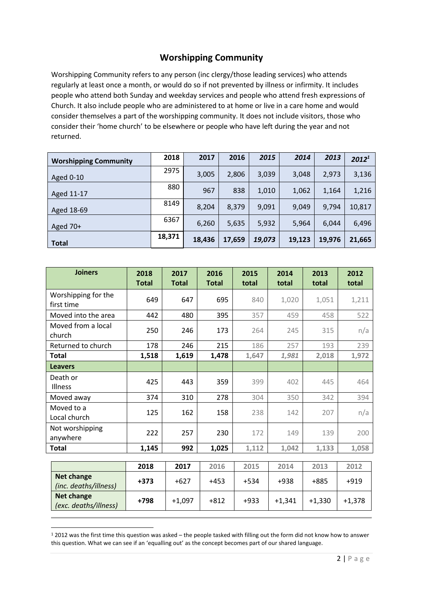# **Worshipping Community**

Worshipping Community refers to any person (inc clergy/those leading services) who attends regularly at least once a month, or would do so if not prevented by illness or infirmity. It includes people who attend both Sunday and weekday services and people who attend fresh expressions of Church. It also include people who are administered to at home or live in a care home and would consider themselves a part of the worshipping community. It does not include visitors, those who consider their 'home church' to be elsewhere or people who have left during the year and not returned.

| <b>Worshipping Community</b> | 2018   | 2017   | 2016   | 2015   | 2014   | 2013   | $2012^1$ |
|------------------------------|--------|--------|--------|--------|--------|--------|----------|
| Aged 0-10                    | 2975   | 3,005  | 2,806  | 3,039  | 3,048  | 2,973  | 3,136    |
| Aged 11-17                   | 880    | 967    | 838    | 1,010  | 1,062  | 1,164  | 1,216    |
| Aged 18-69                   | 8149   | 8,204  | 8,379  | 9,091  | 9,049  | 9,794  | 10,817   |
| Aged 70+                     | 6367   | 6,260  | 5,635  | 5,932  | 5,964  | 6,044  | 6,496    |
| <b>Total</b>                 | 18,371 | 18,436 | 17,659 | 19,073 | 19,123 | 19,976 | 21,665   |

| <b>Joiners</b>                             | 2018<br><b>Total</b> | 2017<br><b>Total</b> | 2016<br><b>Total</b> | 2015<br>total | 2014<br>total | 2013<br>total  | 2012<br>total        |
|--------------------------------------------|----------------------|----------------------|----------------------|---------------|---------------|----------------|----------------------|
| Worshipping for the<br>first time          | 649                  | 647                  | 695                  | 840           | 1,020         | 1,051          | 1,211                |
| Moved into the area                        | 442                  | 480                  | 395                  | 357           | 459           | 458            | 522                  |
| Moved from a local<br>church               | 250                  | 246                  | 173                  | 264           | 245           | 315            | n/a                  |
| Returned to church                         | 178                  | 246                  | 215                  | 186           | 257           | 193            | 239                  |
| Total                                      | 1,518                | 1,619                | 1,478                | 1,647         | 1,981         | 2,018          | 1,972                |
| <b>Leavers</b>                             |                      |                      |                      |               |               |                |                      |
| Death or<br>Illness                        | 425                  | 443                  | 359                  | 399           | 402           | 445            | 464                  |
| Moved away                                 | 374                  | 310                  | 278                  | 304           | 350           | 342            | 394                  |
| Moved to a<br>Local church                 | 125                  | 162                  | 158                  | 238           | 142           | 207            | n/a                  |
| Not worshipping<br>anywhere                | 222                  | 257                  | 230                  | 172           | 149           | 139            | 200                  |
| <b>Total</b>                               | 1,145                | 992                  | 1,025                | 1,112         | 1,042         | 1,133          | 1,058                |
|                                            |                      |                      |                      |               |               |                |                      |
|                                            | 2018                 | 2017                 | 2016                 | 2015          | 2014          | 2013           | 2012                 |
| <b>Net change</b><br>(inc. deaths/illness) | $+373$               | $+627$               | $+453$               | $+534$        | +938          | +885           | $+919$               |
| <b>Net change</b>                          | $-00$                | $\sim$ $\sim$ $\sim$ | $\sim$ $\sim$        | $\sim$        | $\sim$ $\sim$ | $\overline{a}$ | $\sim$ $\sim$ $\sim$ |

**<sup>.</sup>** <sup>1</sup> 2012 was the first time this question was asked – the people tasked with filling out the form did not know how to answer this question. What we can see if an 'equalling out' as the concept becomes part of our shared language.

**(exc. deaths/illness) +798** +1,097 +812 +933 +1,341 +1,330 +1,378 +1,378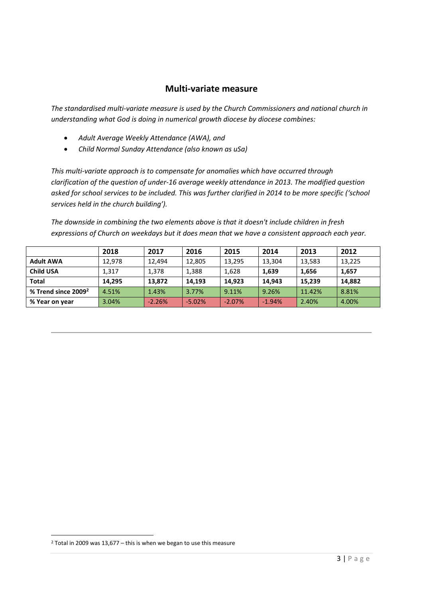### **Multi-variate measure**

*The standardised multi-variate measure is used by the Church Commissioners and national church in understanding what God is doing in numerical growth diocese by diocese combines:*

- *Adult Average Weekly Attendance (AWA), and*
- *Child Normal Sunday Attendance (also known as uSa)*

*This multi-variate approach is to compensate for anomalies which have occurred through clarification of the question of under-16 average weekly attendance in 2013. The modified question*  asked for school services to be included. This was further clarified in 2014 to be more specific ('school *services held in the church building').* 

*The downside in combining the two elements above is that it doesn't include children in fresh expressions of Church on weekdays but it does mean that we have a consistent approach each year.* 

|                        | 2018   | 2017     | 2016     | 2015     | 2014     | 2013   | 2012   |
|------------------------|--------|----------|----------|----------|----------|--------|--------|
| <b>Adult AWA</b>       | 12,978 | 12,494   | 12,805   | 13,295   | 13,304   | 13,583 | 13,225 |
| Child USA              | 1,317  | 1,378    | 1,388    | 1,628    | 1,639    | 1,656  | 1,657  |
| <b>Total</b>           | 14.295 | 13,872   | 14,193   | 14,923   | 14.943   | 15,239 | 14,882 |
| % Trend since $2009^2$ | 4.51%  | 1.43%    | 3.77%    | 9.11%    | 9.26%    | 11.42% | 8.81%  |
| % Year on year         | 3.04%  | $-2.26%$ | $-5.02%$ | $-2.07%$ | $-1.94%$ | 2.40%  | 4.00%  |

1

 $2$  Total in 2009 was 13,677 – this is when we began to use this measure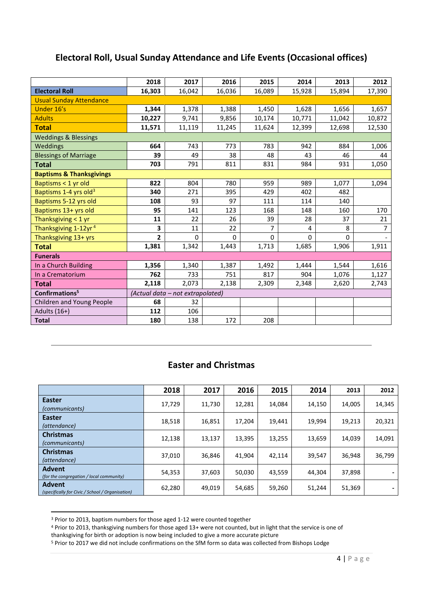|                                     | 2018   | 2017                             | 2016   | 2015           | 2014     | 2013   | 2012           |  |  |  |  |
|-------------------------------------|--------|----------------------------------|--------|----------------|----------|--------|----------------|--|--|--|--|
| <b>Electoral Roll</b>               | 16,303 | 16,042                           | 16,036 | 16,089         | 15,928   | 15,894 | 17,390         |  |  |  |  |
| <b>Usual Sunday Attendance</b>      |        |                                  |        |                |          |        |                |  |  |  |  |
| Under 16's                          | 1,344  | 1,378                            | 1,388  | 1,450          | 1,628    | 1,656  | 1,657          |  |  |  |  |
| <b>Adults</b>                       | 10,227 | 9,741                            | 9,856  | 10,174         | 10,771   | 11,042 | 10,872         |  |  |  |  |
| <b>Total</b>                        | 11,571 | 11,119                           | 11,245 | 11,624         | 12,399   | 12,698 | 12,530         |  |  |  |  |
| <b>Weddings &amp; Blessings</b>     |        |                                  |        |                |          |        |                |  |  |  |  |
| Weddings                            | 664    | 743                              | 773    | 783            | 942      | 884    | 1,006          |  |  |  |  |
| <b>Blessings of Marriage</b>        | 39     | 49                               | 38     | 48             | 43       | 46     | 44             |  |  |  |  |
| <b>Total</b>                        | 703    | 791                              | 811    | 831            | 984      | 931    | 1,050          |  |  |  |  |
| <b>Baptisms &amp; Thanksgivings</b> |        |                                  |        |                |          |        |                |  |  |  |  |
| Baptisms < 1 yr old                 | 822    | 804                              | 780    | 959            | 989      | 1,077  | 1,094          |  |  |  |  |
| Baptisms 1-4 yrs old <sup>3</sup>   | 340    | 271                              | 395    | 429            | 402      | 482    |                |  |  |  |  |
| Baptisms 5-12 yrs old               | 108    | 93                               | 97     | 111            | 114      | 140    |                |  |  |  |  |
| Baptisms 13+ yrs old                | 95     | 141                              | 123    | 168            | 148      | 160    | 170            |  |  |  |  |
| Thanksgiving < 1 yr                 | 11     | 22                               | 26     | 39             | 28       | 37     | 21             |  |  |  |  |
| Thanksgiving 1-12yr <sup>4</sup>    | 3      | 11                               | 22     | $\overline{7}$ | 4        | 8      | $\overline{7}$ |  |  |  |  |
| Thanksgiving 13+ yrs                | 2      | $\Omega$                         | 0      | 0              | $\Omega$ | 0      |                |  |  |  |  |
| <b>Total</b>                        | 1,381  | 1,342                            | 1,443  | 1,713          | 1,685    | 1,906  | 1,911          |  |  |  |  |
| <b>Funerals</b>                     |        |                                  |        |                |          |        |                |  |  |  |  |
| In a Church Building                | 1,356  | 1,340                            | 1,387  | 1,492          | 1,444    | 1,544  | 1,616          |  |  |  |  |
| In a Crematorium                    | 762    | 733                              | 751    | 817            | 904      | 1,076  | 1,127          |  |  |  |  |
| <b>Total</b>                        | 2,118  | 2,073                            | 2,138  | 2,309          | 2,348    | 2,620  | 2,743          |  |  |  |  |
| Confirmations <sup>5</sup>          |        | (Actual data - not extrapolated) |        |                |          |        |                |  |  |  |  |
| Children and Young People           | 68     | 32                               |        |                |          |        |                |  |  |  |  |
| Adults (16+)                        | 112    | 106                              |        |                |          |        |                |  |  |  |  |
| <b>Total</b>                        | 180    | 138                              | 172    | 208            |          |        |                |  |  |  |  |

## **Electoral Roll, Usual Sunday Attendance and Life Events (Occasional offices)**

## **Easter and Christmas**

|                                                                   | 2018   | 2017   | 2016   | 2015   | 2014   | 2013   | 2012   |
|-------------------------------------------------------------------|--------|--------|--------|--------|--------|--------|--------|
| <b>Easter</b><br>(communicants)                                   | 17,729 | 11,730 | 12,281 | 14,084 | 14,150 | 14,005 | 14,345 |
| <b>Easter</b><br>(attendance)                                     | 18,518 | 16,851 | 17,204 | 19,441 | 19,994 | 19,213 | 20,321 |
| <b>Christmas</b><br>(communicants)                                | 12,138 | 13,137 | 13,395 | 13,255 | 13,659 | 14,039 | 14,091 |
| <b>Christmas</b><br>(attendance)                                  | 37,010 | 36,846 | 41.904 | 42,114 | 39,547 | 36,948 | 36,799 |
| <b>Advent</b><br>(for the congregation / local community)         | 54,353 | 37,603 | 50,030 | 43,559 | 44,304 | 37,898 |        |
| <b>Advent</b><br>(specifically for Civic / School / Organisation) | 62,280 | 49,019 | 54,685 | 59,260 | 51,244 | 51,369 |        |

<sup>&</sup>lt;sup>3</sup> Prior to 2013, baptism numbers for those aged 1-12 were counted together

 $\overline{a}$ 

<sup>4</sup> Prior to 2013, thanksgiving numbers for those aged 13+ were not counted, but in light that the service is one of

thanksgiving for birth or adoption is now being included to give a more accurate picture

<sup>5</sup> Prior to 2017 we did not include confirmations on the SfM form so data was collected from Bishops Lodge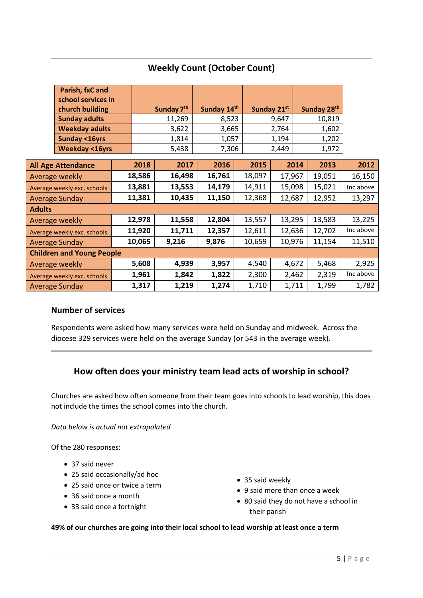|                                  | Parish, fxC and             |  |                        |        |             |        |             |             |        |           |
|----------------------------------|-----------------------------|--|------------------------|--------|-------------|--------|-------------|-------------|--------|-----------|
|                                  | school services in          |  |                        |        |             |        |             |             |        |           |
|                                  | church building             |  | Sunday 7 <sup>th</sup> |        | Sunday 14th |        | Sunday 21st | Sunday 28th |        |           |
|                                  | <b>Sunday adults</b>        |  | 11,269                 |        | 8,523       |        | 9,647       |             | 10,819 |           |
|                                  | <b>Weekday adults</b>       |  | 3,622                  |        | 3,665       |        | 2,764       |             | 1,602  |           |
|                                  | <b>Sunday &lt;16yrs</b>     |  |                        | 1,814  | 1,057       |        | 1,194       |             | 1,202  |           |
|                                  | <b>Weekday &lt;16yrs</b>    |  |                        | 5,438  | 7,306       |        | 2,449       |             | 1,972  |           |
|                                  |                             |  |                        |        |             |        |             |             |        |           |
|                                  | <b>All Age Attendance</b>   |  | 2018                   | 2017   | 2016        | 2015   |             | 2014        | 2013   | 2012      |
|                                  | Average weekly              |  | 18,586                 | 16,498 | 16,761      | 18,097 | 17,967      |             | 19,051 | 16,150    |
|                                  | Average weekly exc. schools |  | 13,881                 | 13,553 | 14,179      | 14,911 | 15,098      |             | 15,021 | Inc above |
|                                  | <b>Average Sunday</b>       |  | 11,381                 | 10,435 | 11,150      | 12,368 | 12,687      |             | 12,952 | 13,297    |
| <b>Adults</b>                    |                             |  |                        |        |             |        |             |             |        |           |
|                                  | Average weekly              |  | 12,978                 | 11,558 | 12,804      | 13,557 | 13,295      |             | 13,583 | 13,225    |
|                                  | Average weekly exc. schools |  | 11,920                 | 11,711 | 12,357      | 12,611 | 12,636      |             | 12,702 | Inc above |
|                                  | <b>Average Sunday</b>       |  | 10,065                 | 9,216  | 9,876       | 10,659 | 10,976      |             | 11,154 | 11,510    |
| <b>Children and Young People</b> |                             |  |                        |        |             |        |             |             |        |           |
|                                  | Average weekly              |  | 5,608                  | 4,939  | 3,957       | 4,540  |             | 4,672       | 5,468  | 2,925     |
|                                  | Average weekly exc. schools |  | 1,961                  | 1,842  | 1,822       | 2,300  |             | 2,462       | 2,319  | Inc above |
|                                  | <b>Average Sunday</b>       |  | 1,317                  | 1,219  | 1,274       | 1,710  |             | 1,711       | 1,799  | 1,782     |

# **Weekly Count (October Count)**

### **Number of services**

Respondents were asked how many services were held on Sunday and midweek. Across the diocese 329 services were held on the average Sunday (or 543 in the average week).

## **How often does your ministry team lead acts of worship in school?**

Churches are asked how often someone from their team goes into schools to lead worship, this does not include the times the school comes into the church.

*Data below is actual not extrapolated*

Of the 280 responses:

- 37 said never
- 25 said occasionally/ad hoc
- 25 said once or twice a term
- 36 said once a month
- 33 said once a fortnight
- 35 said weekly
- 9 said more than once a week
- 80 said they do not have a school in their parish

### **49% of our churches are going into their local school to lead worship at least once a term**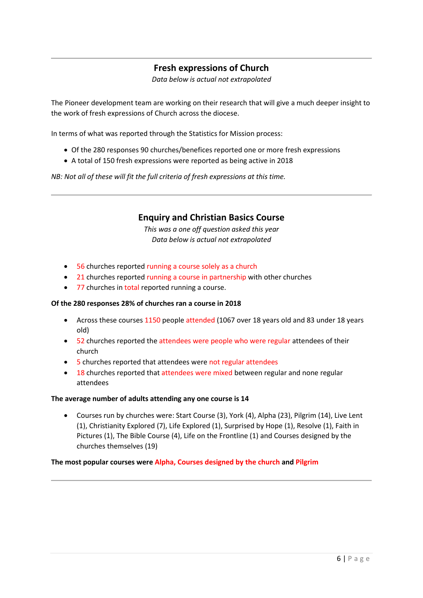## **Fresh expressions of Church**

*Data below is actual not extrapolated*

The Pioneer development team are working on their research that will give a much deeper insight to the work of fresh expressions of Church across the diocese.

In terms of what was reported through the Statistics for Mission process:

- Of the 280 responses 90 churches/benefices reported one or more fresh expressions
- A total of 150 fresh expressions were reported as being active in 2018

*NB: Not all of these will fit the full criteria of fresh expressions at this time.* 

### **Enquiry and Christian Basics Course**

*This was a one off question asked this year Data below is actual not extrapolated*

- 56 churches reported running a course solely as a church
- 21 churches reported running a course in partnership with other churches
- 77 churches in total reported running a course.

#### **Of the 280 responses 28% of churches ran a course in 2018**

- Across these courses 1150 people attended (1067 over 18 years old and 83 under 18 years old)
- 52 churches reported the attendees were people who were regular attendees of their church
- 5 churches reported that attendees were not regular attendees
- 18 churches reported that attendees were mixed between regular and none regular attendees

#### **The average number of adults attending any one course is 14**

 Courses run by churches were: Start Course (3), York (4), Alpha (23), Pilgrim (14), Live Lent (1), Christianity Explored (7), Life Explored (1), Surprised by Hope (1), Resolve (1), Faith in Pictures (1), The Bible Course (4), Life on the Frontline (1) and Courses designed by the churches themselves (19)

#### **The most popular courses were Alpha, Courses designed by the church and Pilgrim**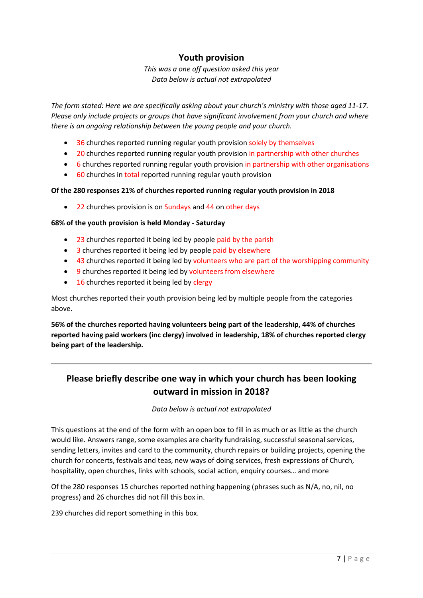## **Youth provision**

*This was a one off question asked this year Data below is actual not extrapolated*

*The form stated: Here we are specifically asking about your church's ministry with those aged 11-17. Please only include projects or groups that have significant involvement from your church and where there is an ongoing relationship between the young people and your church.*

- 36 churches reported running regular youth provision solely by themselves
- 20 churches reported running regular youth provision in partnership with other churches
- 6 churches reported running regular youth provision in partnership with other organisations
- 60 churches in total reported running regular youth provision

### **Of the 280 responses 21% of churches reported running regular youth provision in 2018**

• 22 churches provision is on Sundays and 44 on other days

### **68% of the youth provision is held Monday - Saturday**

- 23 churches reported it being led by people paid by the parish
- 3 churches reported it being led by people paid by elsewhere
- 43 churches reported it being led by volunteers who are part of the worshipping community
- 9 churches reported it being led by volunteers from elsewhere
- 16 churches reported it being led by clergy

Most churches reported their youth provision being led by multiple people from the categories above.

**56% of the churches reported having volunteers being part of the leadership, 44% of churches reported having paid workers (inc clergy) involved in leadership, 18% of churches reported clergy being part of the leadership.**

# **Please briefly describe one way in which your church has been looking outward in mission in 2018?**

*Data below is actual not extrapolated*

This questions at the end of the form with an open box to fill in as much or as little as the church would like. Answers range, some examples are charity fundraising, successful seasonal services, sending letters, invites and card to the community, church repairs or building projects, opening the church for concerts, festivals and teas, new ways of doing services, fresh expressions of Church, hospitality, open churches, links with schools, social action, enquiry courses… and more

Of the 280 responses 15 churches reported nothing happening (phrases such as N/A, no, nil, no progress) and 26 churches did not fill this box in.

239 churches did report something in this box.